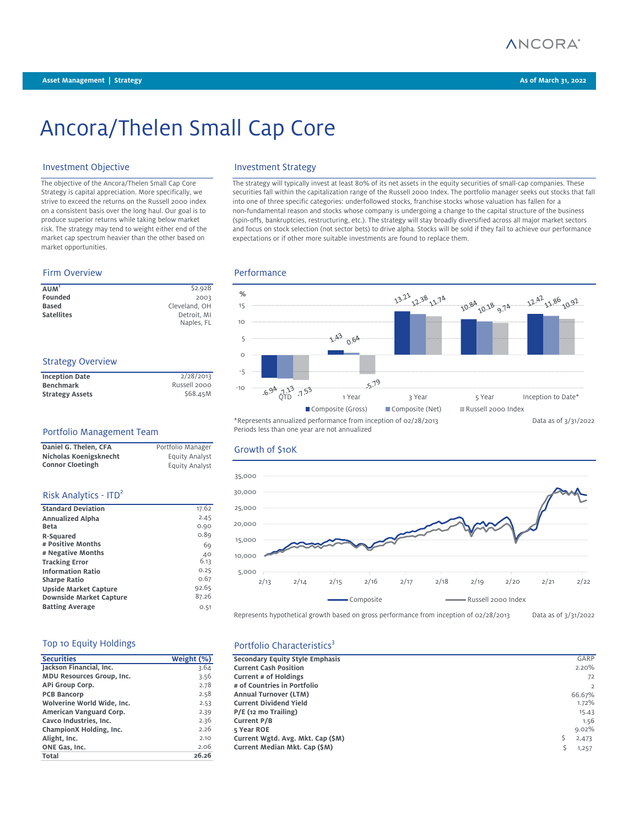

# Ancora/Thelen Small Cap Core

# Investment Objective **Investment Strategy**

The objective of the Ancora/Thelen Small Cap Core Strategy is capital appreciation. More specifically, we strive to exceed the returns on the Russell 2000 index on a consistent basis over the long haul. Our goal is to produce superior returns while taking below market risk. The strategy may tend to weight either end of the market cap spectrum heavier than the other based on market opportunities.

### Firm Overview **Performance**

| $A$ UM $1$        | \$2.92B       |
|-------------------|---------------|
| Founded           | 2003          |
| <b>Based</b>      | Cleveland, OH |
| <b>Satellites</b> | Detroit. MI   |
|                   | Naples, FL    |

# Strategy Overview

| <b>Inception Date</b>  | 2/28/2013    |
|------------------------|--------------|
| <b>Benchmark</b>       | Russell 2000 |
| <b>Strategy Assets</b> | \$68.45M     |

### Portfolio Management Team

| Daniel G. Thelen, CFA   | Portfolio Manager |
|-------------------------|-------------------|
| Nicholas Koenigsknecht  | Equity Analyst    |
| <b>Connor Cloetingh</b> | Equity Analyst    |

### Risk Analytics - ITD<sup>2</sup>

| <b>Standard Deviation</b>      | 17.62 |
|--------------------------------|-------|
| <b>Annualized Alpha</b>        | 2.45  |
| <b>Beta</b>                    | 0.90  |
| R-Squared                      | 0.89  |
| # Positive Months              | 69    |
| # Negative Months              | 40    |
| <b>Tracking Error</b>          | 6.13  |
| <b>Information Ratio</b>       | 0.25  |
| <b>Sharpe Ratio</b>            | 0.67  |
| Upside Market Capture          | 92.65 |
| <b>Downside Market Capture</b> | 87.26 |
| <b>Batting Average</b>         | O.51  |

### Top 10 Equity Holdings

| <b>Securities</b>          | Weight (%) | Secondary Equity Style Emphasis   |
|----------------------------|------------|-----------------------------------|
| Jackson Financial, Inc.    | 3.64       | <b>Current Cash Position</b>      |
| MDU Resources Group, Inc.  | 3.56       | <b>Current # of Holdings</b>      |
| APi Group Corp.            | 2.78       | # of Countries in Portfolio       |
| <b>PCB Bancorp</b>         | 2.58       | <b>Annual Turnover (LTM)</b>      |
| Wolverine World Wide, Inc. | 2.53       | <b>Current Dividend Yield</b>     |
| American Vanguard Corp.    | 2.39       | P/E (12 mo Trailing)              |
| Cavco Industries, Inc.     | 2.36       | <b>Current P/B</b>                |
| ChampionX Holding, Inc.    | 2.26       | 5 Year ROE                        |
| Alight, Inc.               | 2.10       | Current Wgtd. Avg. Mkt. Cap (\$M) |
| ONE Gas, Inc.              | 2.06       | Current Median Mkt. Cap (\$M)     |
| Total                      | 26.26      |                                   |

The strategy will typically invest at least 80% of its net assets in the equity securities of small-cap companies. These securities fall within the capitalization range of the Russell 2000 Index. The portfolio manager seeks out stocks that fall into one of three specific categories: underfollowed stocks, franchise stocks whose valuation has fallen for a non-fundamental reason and stocks whose company is undergoing a change to the capital structure of the business (spin-offs, bankruptcies, restructuring, etc.). The strategy will stay broadly diversified across all major market sectors and focus on stock selection (not sector bets) to drive alpha. Stocks will be sold if they fail to achieve our performance expectations or if other more suitable investments are found to replace them.



Periods less than one year are not annualized

## Growth of \$10K



Represents hypothetical growth based on gross performance from inception of 02/28/2013 Data as of 3/31/2022

## Portfolio Characteristics<sup>3</sup>

| <b>Securities</b>          | Weight (%) | Secondary Equity Style Emphasis   | GARP           |
|----------------------------|------------|-----------------------------------|----------------|
| Jackson Financial, Inc.    | 3.64       | <b>Current Cash Position</b>      | 2.20%          |
| MDU Resources Group, Inc.  | 3.56       | <b>Current # of Holdings</b>      | 72             |
| APi Group Corp.            | 2.78       | # of Countries in Portfolio       | $\overline{2}$ |
| <b>PCB Bancorp</b>         | 2.58       | <b>Annual Turnover (LTM)</b>      | 66.67%         |
| Wolverine World Wide. Inc. | 2.53       | <b>Current Dividend Yield</b>     | 1.72%          |
| American Vanguard Corp.    | 2.39       | $P/E$ (12 mo Trailing)            | 15.43          |
| Cavco Industries, Inc.     | 2.36       | Current P/B                       | 1.56           |
| ChampionX Holding, Inc.    | 2.26       | 5 Year ROE                        | 9.02%          |
| Alight, Inc.               | 2.10       | Current Wgtd. Avg. Mkt. Cap (\$M) | 2,473          |
| ONE Gas. Inc.              | 2.06       | Current Median Mkt. Cap (\$M)     | 1,257          |
|                            |            |                                   |                |